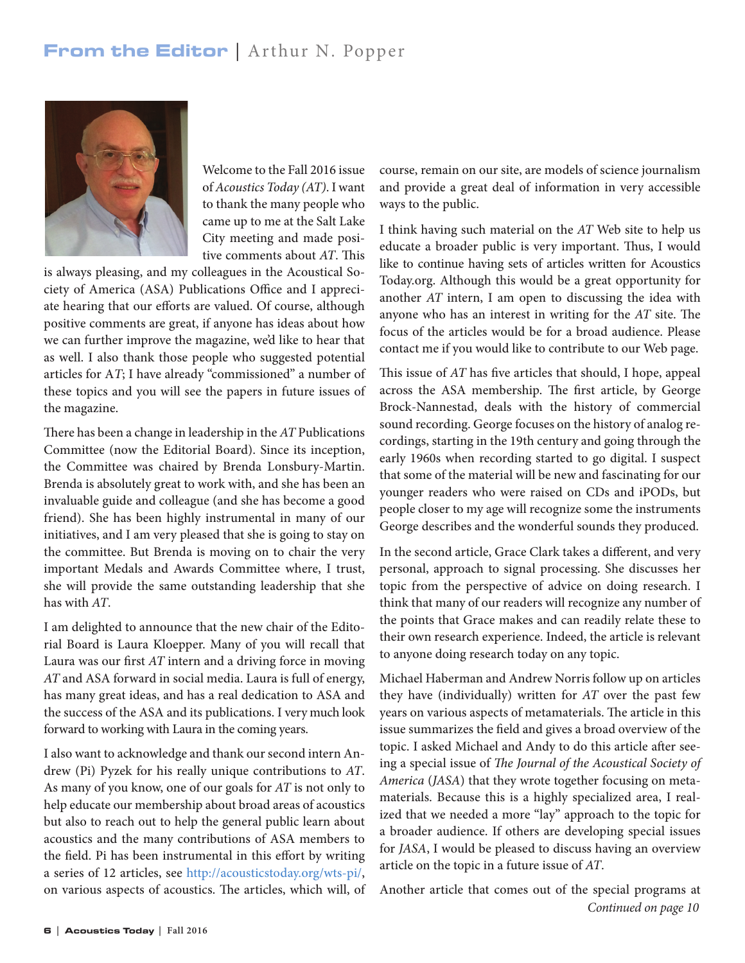## From the Editor | Arthur N. Popper



Welcome to the Fall 2016 issue of *Acoustics Today (AT)*. I want to thank the many people who came up to me at the Salt Lake City meeting and made positive comments about *AT*. This

is always pleasing, and my colleagues in the Acoustical Society of America (ASA) Publications Office and I appreciate hearing that our efforts are valued. Of course, although positive comments are great, if anyone has ideas about how we can further improve the magazine, we'd like to hear that as well. I also thank those people who suggested potential articles for A*T*; I have already "commissioned" a number of these topics and you will see the papers in future issues of the magazine.

There has been a change in leadership in the *AT* Publications Committee (now the Editorial Board). Since its inception, the Committee was chaired by Brenda Lonsbury-Martin. Brenda is absolutely great to work with, and she has been an invaluable guide and colleague (and she has become a good friend). She has been highly instrumental in many of our initiatives, and I am very pleased that she is going to stay on the committee. But Brenda is moving on to chair the very important Medals and Awards Committee where, I trust, she will provide the same outstanding leadership that she has with *AT*.

I am delighted to announce that the new chair of the Editorial Board is Laura Kloepper. Many of you will recall that Laura was our first *AT* intern and a driving force in moving *AT* and ASA forward in social media. Laura is full of energy, has many great ideas, and has a real dedication to ASA and the success of the ASA and its publications. I very much look forward to working with Laura in the coming years.

I also want to acknowledge and thank our second intern Andrew (Pi) Pyzek for his really unique contributions to *AT*. As many of you know, one of our goals for *AT* is not only to help educate our membership about broad areas of acoustics but also to reach out to help the general public learn about acoustics and the many contributions of ASA members to the field. Pi has been instrumental in this effort by writing a series of 12 articles, see http://acousticstoday.org/wts-pi/, on various aspects of acoustics. The articles, which will, of course, remain on our site, are models of science journalism and provide a great deal of information in very accessible ways to the public.

I think having such material on the *AT* Web site to help us educate a broader public is very important. Thus, I would like to continue having sets of articles written for Acoustics Today.org. Although this would be a great opportunity for another *AT* intern, I am open to discussing the idea with anyone who has an interest in writing for the *AT* site. The focus of the articles would be for a broad audience. Please contact me if you would like to contribute to our Web page.

This issue of *AT* has five articles that should, I hope, appeal across the ASA membership. The first article, by George Brock-Nannestad, deals with the history of commercial sound recording. George focuses on the history of analog recordings, starting in the 19th century and going through the early 1960s when recording started to go digital. I suspect that some of the material will be new and fascinating for our younger readers who were raised on CDs and iPODs, but people closer to my age will recognize some the instruments George describes and the wonderful sounds they produced.

In the second article, Grace Clark takes a different, and very personal, approach to signal processing. She discusses her topic from the perspective of advice on doing research. I think that many of our readers will recognize any number of the points that Grace makes and can readily relate these to their own research experience. Indeed, the article is relevant to anyone doing research today on any topic.

Michael Haberman and Andrew Norris follow up on articles they have (individually) written for *AT* over the past few years on various aspects of metamaterials. The article in this issue summarizes the field and gives a broad overview of the topic. I asked Michael and Andy to do this article after seeing a special issue of *The Journal of the Acoustical Society of America* (*JASA*) that they wrote together focusing on metamaterials. Because this is a highly specialized area, I realized that we needed a more "lay" approach to the topic for a broader audience. If others are developing special issues for *JASA*, I would be pleased to discuss having an overview article on the topic in a future issue of *AT*.

Another article that comes out of the special programs at *Continued on page 10*